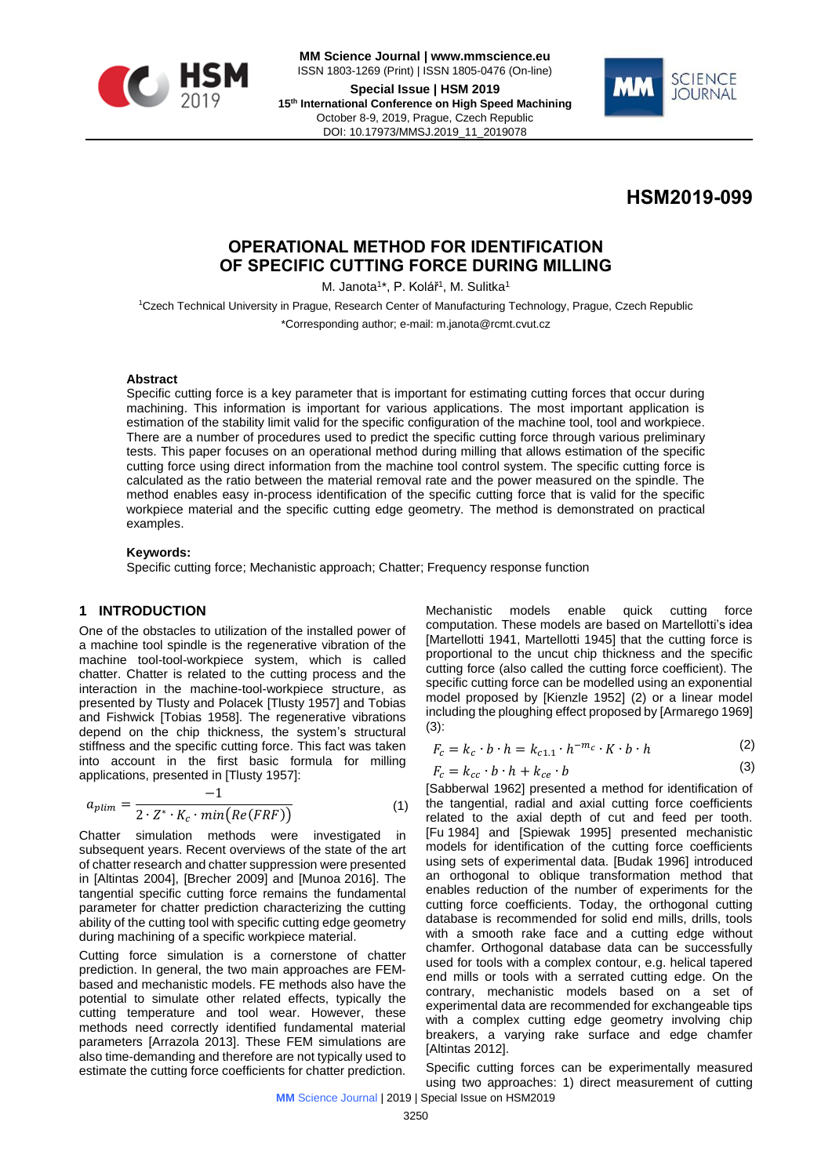

**MM Science Journal | www.mmscience.eu** ISSN 1803-1269 (Print) | ISSN 1805-0476 (On-line) **Special Issue | HSM 2019**

**15th International Conference on High Speed Machining** October 8-9, 2019, Prague, Czech Republic DOI: 10.17973/MMSJ.2019\_11\_2019078



**HSM2019-099**

# **OPERATIONAL METHOD FOR IDENTIFICATION OF SPECIFIC CUTTING FORCE DURING MILLING**

M. Janota<sup>1\*</sup>, P. Kolář<sup>1</sup>, M. Sulitka<sup>1</sup>

<sup>1</sup>Czech Technical University in Prague, Research Center of Manufacturing Technology, Prague, Czech Republic \*Corresponding author; e-mail: m.janota@rcmt.cvut.cz

#### **Abstract**

Specific cutting force is a key parameter that is important for estimating cutting forces that occur during machining. This information is important for various applications. The most important application is estimation of the stability limit valid for the specific configuration of the machine tool, tool and workpiece. There are a number of procedures used to predict the specific cutting force through various preliminary tests. This paper focuses on an operational method during milling that allows estimation of the specific cutting force using direct information from the machine tool control system. The specific cutting force is calculated as the ratio between the material removal rate and the power measured on the spindle. The method enables easy in-process identification of the specific cutting force that is valid for the specific workpiece material and the specific cutting edge geometry. The method is demonstrated on practical examples.

#### **Keywords:**

Specific cutting force; Mechanistic approach; Chatter; Frequency response function

## **1 INTRODUCTION**

One of the obstacles to utilization of the installed power of a machine tool spindle is the regenerative vibration of the machine tool-tool-workpiece system, which is called chatter. Chatter is related to the cutting process and the interaction in the machine-tool-workpiece structure, as presented by Tlusty and Polacek [Tlusty 1957] and Tobias and Fishwick [Tobias 1958]. The regenerative vibrations depend on the chip thickness, the system's structural stiffness and the specific cutting force. This fact was taken into account in the first basic formula for milling applications, presented in [Tlusty 1957]:

$$
a_{plim} = \frac{-1}{2 \cdot Z^* \cdot K_c \cdot min\big(Re(FRF)\big)}\tag{1}
$$

Chatter simulation methods were investigated in subsequent years. Recent overviews of the state of the art of chatter research and chatter suppression were presented in [Altintas 2004], [Brecher 2009] and [Munoa 2016]. The tangential specific cutting force remains the fundamental parameter for chatter prediction characterizing the cutting ability of the cutting tool with specific cutting edge geometry during machining of a specific workpiece material.

Cutting force simulation is a cornerstone of chatter prediction. In general, the two main approaches are FEMbased and mechanistic models. FE methods also have the potential to simulate other related effects, typically the cutting temperature and tool wear. However, these methods need correctly identified fundamental material parameters [Arrazola 2013]. These FEM simulations are also time-demanding and therefore are not typically used to estimate the cutting force coefficients for chatter prediction.

Mechanistic models enable quick cutting force computation. These models are based on Martellotti's idea [Martellotti 1941, Martellotti 1945] that the cutting force is proportional to the uncut chip thickness and the specific cutting force (also called the cutting force coefficient). The specific cutting force can be modelled using an exponential model proposed by [Kienzle 1952] (2) or a linear model including the ploughing effect proposed by [Armarego 1969] (3):

$$
F_c = k_c \cdot b \cdot h = k_{c1.1} \cdot h^{-m_c} \cdot K \cdot b \cdot h \tag{2}
$$

$$
F_c = k_{cc} \cdot b \cdot h + k_{ce} \cdot b \tag{3}
$$

[Sabberwal 1962] presented a method for identification of the tangential, radial and axial cutting force coefficients related to the axial depth of cut and feed per tooth. [Fu 1984] and [Spiewak 1995] presented mechanistic models for identification of the cutting force coefficients using sets of experimental data. [Budak 1996] introduced an orthogonal to oblique transformation method that enables reduction of the number of experiments for the cutting force coefficients. Today, the orthogonal cutting database is recommended for solid end mills, drills, tools with a smooth rake face and a cutting edge without chamfer. Orthogonal database data can be successfully used for tools with a complex contour, e.g. helical tapered end mills or tools with a serrated cutting edge. On the contrary, mechanistic models based on a set of experimental data are recommended for exchangeable tips with a complex cutting edge geometry involving chip breakers, a varying rake surface and edge chamfer [Altintas 2012].

Specific cutting forces can be experimentally measured using two approaches: 1) direct measurement of cutting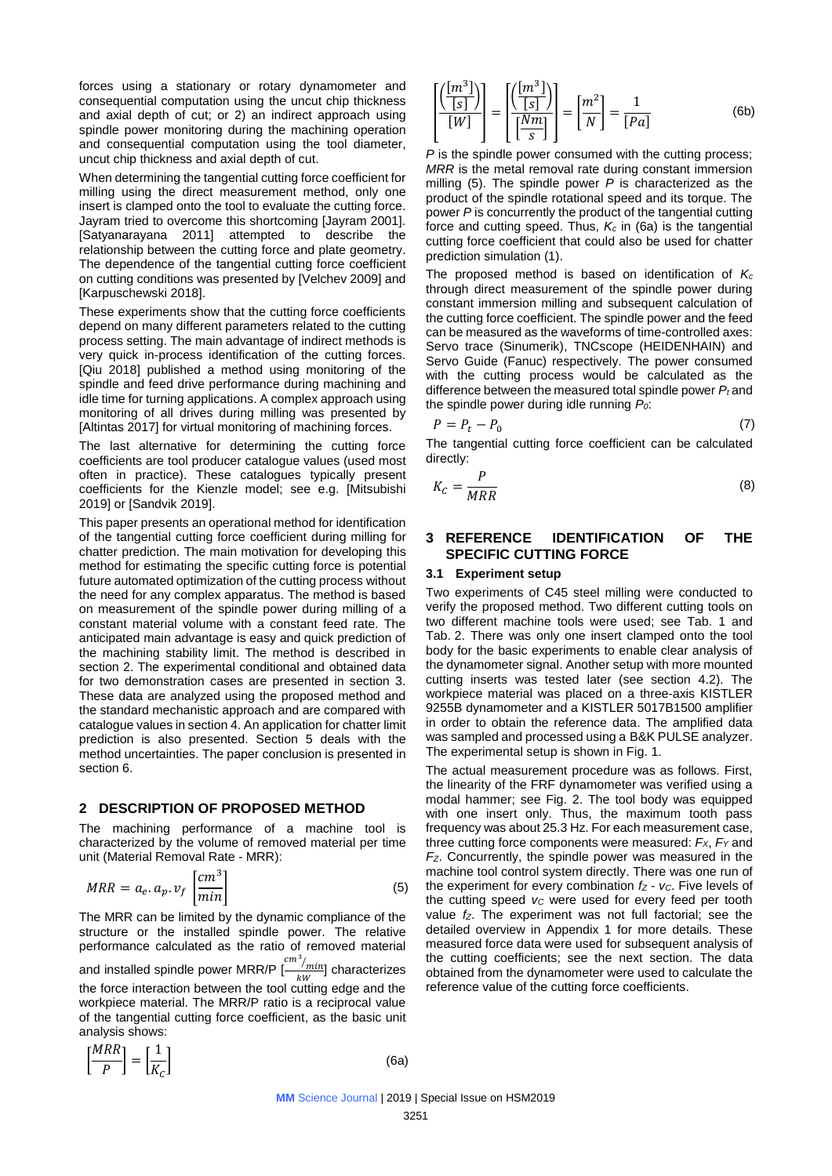forces using a stationary or rotary dynamometer and consequential computation using the uncut chip thickness and axial depth of cut; or 2) an indirect approach using spindle power monitoring during the machining operation and consequential computation using the tool diameter, uncut chip thickness and axial depth of cut.

When determining the tangential cutting force coefficient for milling using the direct measurement method, only one insert is clamped onto the tool to evaluate the cutting force. Jayram tried to overcome this shortcoming [Jayram 2001]. [Satyanarayana 2011] attempted to describe the relationship between the cutting force and plate geometry. The dependence of the tangential cutting force coefficient on cutting conditions was presented by [Velchev 2009] and [Karpuschewski 2018].

These experiments show that the cutting force coefficients depend on many different parameters related to the cutting process setting. The main advantage of indirect methods is very quick in-process identification of the cutting forces. [Qiu 2018] published a method using monitoring of the spindle and feed drive performance during machining and idle time for turning applications. A complex approach using monitoring of all drives during milling was presented by [Altintas 2017] for virtual monitoring of machining forces.

The last alternative for determining the cutting force coefficients are tool producer catalogue values (used most often in practice). These catalogues typically present coefficients for the Kienzle model; see e.g. [Mitsubishi 2019] or [Sandvik 2019].

This paper presents an operational method for identification of the tangential cutting force coefficient during milling for chatter prediction. The main motivation for developing this method for estimating the specific cutting force is potential future automated optimization of the cutting process without the need for any complex apparatus. The method is based on measurement of the spindle power during milling of a constant material volume with a constant feed rate. The anticipated main advantage is easy and quick prediction of the machining stability limit. The method is described in section 2. The experimental conditional and obtained data for two demonstration cases are presented in section 3. These data are analyzed using the proposed method and the standard mechanistic approach and are compared with catalogue values in section 4. An application for chatter limit prediction is also presented. Section 5 deals with the method uncertainties. The paper conclusion is presented in section 6.

### **2 DESCRIPTION OF PROPOSED METHOD**

The machining performance of a machine tool is characterized by the volume of removed material per time unit (Material Removal Rate - MRR):

$$
MRR = a_e. a_p. v_f \left[\frac{cm^3}{min}\right] \tag{5}
$$

The MRR can be limited by the dynamic compliance of the structure or the installed spindle power. The relative performance calculated as the ratio of removed material and installed spindle power MRR/P  $\left[\frac{cm^3}{cm^2}\right]$  $\frac{m}{kw}$ ] characterizes the force interaction between the tool cutting edge and the workpiece material. The MRR/P ratio is a reciprocal value of the tangential cutting force coefficient, as the basic unit analysis shows:

$$
\left[\frac{MRR}{P}\right] = \left[\frac{1}{K_C}\right]
$$

 $\qquad \qquad \textbf{(6a)}$ 

$$
\left[\frac{\left(\frac{[m^3]}{[s]}\right)}{[W]}\right] = \left[\frac{\left(\frac{[m^3]}{[s]}\right)}{\left[\frac{Nm}{s}\right]}\right] = \left[\frac{m^2}{N}\right] = \frac{1}{[Pa]}
$$
(6b)

*P* is the spindle power consumed with the cutting process; *MRR* is the metal removal rate during constant immersion milling (5). The spindle power *P* is characterized as the product of the spindle rotational speed and its torque. The power *P* is concurrently the product of the tangential cutting force and cutting speed. Thus, *K<sup>c</sup>* in (6a) is the tangential cutting force coefficient that could also be used for chatter prediction simulation (1).

The proposed method is based on identification of *K<sup>c</sup>* through direct measurement of the spindle power during constant immersion milling and subsequent calculation of the cutting force coefficient. The spindle power and the feed can be measured as the waveforms of time-controlled axes: Servo trace (Sinumerik), TNCscope (HEIDENHAIN) and Servo Guide (Fanuc) respectively. The power consumed with the cutting process would be calculated as the difference between the measured total spindle power *P<sup>t</sup>* and the spindle power during idle running *P0*:

$$
P = P_t - P_0 \tag{7}
$$

The tangential cutting force coefficient can be calculated directly:

$$
K_C = \frac{P}{MRR} \tag{8}
$$

### **3 REFERENCE IDENTIFICATION OF THE SPECIFIC CUTTING FORCE**

#### **3.1 Experiment setup**

Two experiments of C45 steel milling were conducted to verify the proposed method. Two different cutting tools on two different machine tools were used; see Tab. 1 and Tab. 2. There was only one insert clamped onto the tool body for the basic experiments to enable clear analysis of the dynamometer signal. Another setup with more mounted cutting inserts was tested later (see section 4.2). The workpiece material was placed on a three-axis KISTLER 9255B dynamometer and a KISTLER 5017B1500 amplifier in order to obtain the reference data. The amplified data was sampled and processed using a B&K PULSE analyzer. The experimental setup is shown in Fig. 1.

The actual measurement procedure was as follows. First, the linearity of the FRF dynamometer was verified using a modal hammer; see Fig. 2. The tool body was equipped with one insert only. Thus, the maximum tooth pass frequency was about 25.3 Hz. For each measurement case, three cutting force components were measured: *FX*, *F<sup>Y</sup>* and *FZ*. Concurrently, the spindle power was measured in the machine tool control system directly. There was one run of the experiment for every combination *f<sup>Z</sup>* - *vC*. Five levels of the cutting speed *v<sup>C</sup>* were used for every feed per tooth value *fZ*. The experiment was not full factorial; see the detailed overview in Appendix 1 for more details. These measured force data were used for subsequent analysis of the cutting coefficients; see the next section. The data obtained from the dynamometer were used to calculate the reference value of the cutting force coefficients.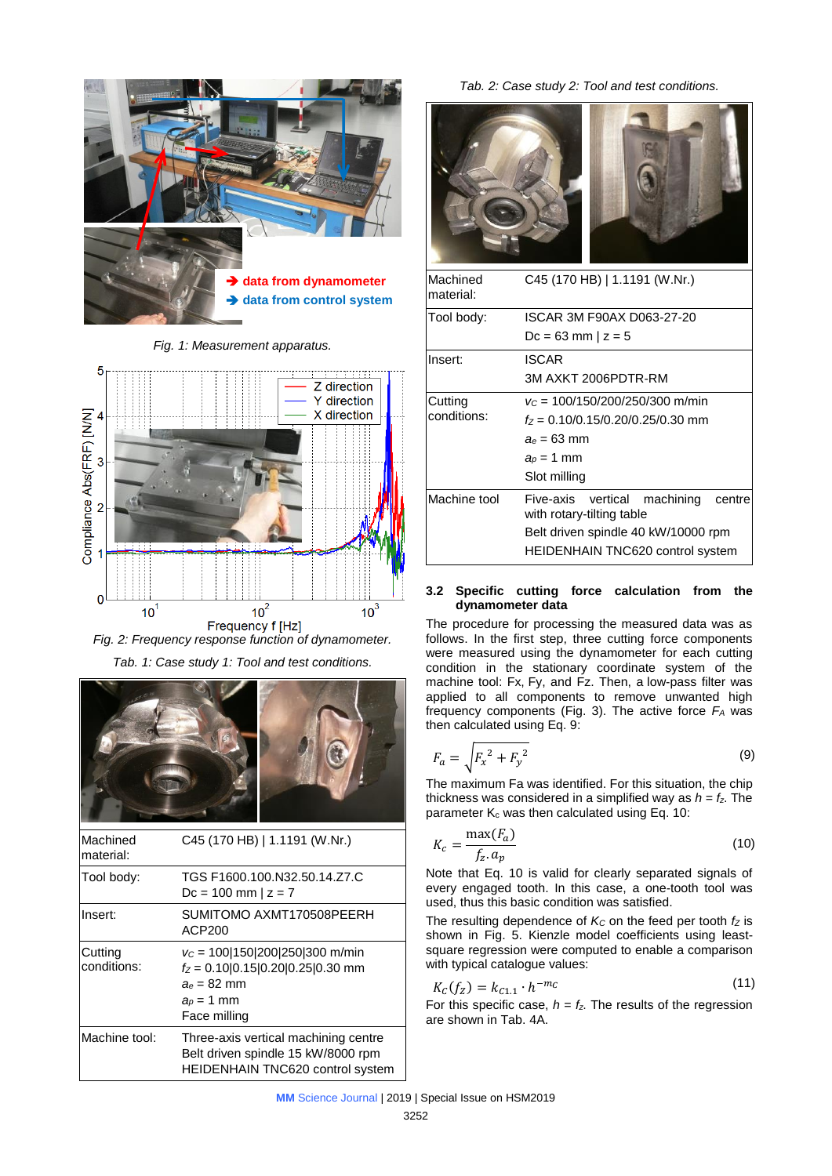

*Fig. 1: Measurement apparatus.*



*Fig. 2: Frequency response function of dynamometer. Tab. 1: Case study 1: Tool and test conditions.*



| Machined<br>material:  | C45 (170 HB)   1.1191 (W.Nr.)                                                                                             |
|------------------------|---------------------------------------------------------------------------------------------------------------------------|
| Tool body:             | TGS F1600.100.N32.50.14.Z7.C<br>$Dc = 100$ mm $ z = 7$                                                                    |
| Insert:                | SUMITOMO AXMT170508PEERH<br>ACP200                                                                                        |
| Cutting<br>conditions: | $v_c$ = 100 150 200 250 300 m/min<br>$f_Z$ = 0.10 0.15 0.20 0.25 0.30 mm<br>$a_e = 82$ mm<br>$a_p = 1$ mm<br>Face milling |
| Machine tool:          | Three-axis vertical machining centre<br>Belt driven spindle 15 kW/8000 rpm<br><b>HEIDENHAIN TNC620 control system</b>     |

*Tab. 2: Case study 2: Tool and test conditions.*



| Machined<br>material: | C45 (170 HB)   1.1191 (W.Nr.)                                          |  |  |  |  |  |
|-----------------------|------------------------------------------------------------------------|--|--|--|--|--|
| Tool body:            | ISCAR 3M F90AX D063-27-20                                              |  |  |  |  |  |
|                       | $Dc = 63$ mm   $z = 5$                                                 |  |  |  |  |  |
| Insert:               | ISCAR                                                                  |  |  |  |  |  |
|                       | 3M AXKT 2006PDTR-RM                                                    |  |  |  |  |  |
| Cutting               | $v_c = 100/150/200/250/300$ m/min                                      |  |  |  |  |  |
| conditions:           | $t7 = 0.10/0.15/0.20/0.25/0.30$ mm                                     |  |  |  |  |  |
|                       | $a_e = 63$ mm                                                          |  |  |  |  |  |
|                       | $a_p = 1$ mm                                                           |  |  |  |  |  |
|                       | Slot milling                                                           |  |  |  |  |  |
| Machine tool          | Five-axis vertical<br>machining<br>centre<br>with rotary-tilting table |  |  |  |  |  |
|                       | Belt driven spindle 40 kW/10000 rpm                                    |  |  |  |  |  |
|                       | <b>HEIDENHAIN TNC620 control system</b>                                |  |  |  |  |  |

### **3.2 Specific cutting force calculation from the dynamometer data**

The procedure for processing the measured data was as follows. In the first step, three cutting force components were measured using the dynamometer for each cutting condition in the stationary coordinate system of the machine tool: Fx, Fy, and Fz. Then, a low-pass filter was applied to all components to remove unwanted high frequency components (Fig. 3). The active force *F<sup>A</sup>* was then calculated using Eq. 9:

$$
F_a = \sqrt{F_x^2 + F_y^2}
$$
 (9)

The maximum Fa was identified. For this situation, the chip thickness was considered in a simplified way as  $h = f_z$ . The parameter  $K_c$  was then calculated using Eq. 10:

$$
K_c = \frac{\max(F_a)}{f_z \cdot a_p} \tag{10}
$$

Note that Eq. 10 is valid for clearly separated signals of every engaged tooth. In this case, a one-tooth tool was used, thus this basic condition was satisfied.

The resulting dependence of  $K_C$  on the feed per tooth  $f_Z$  is shown in Fig. 5. Kienzle model coefficients using leastsquare regression were computed to enable a comparison with typical catalogue values:

$$
K_C(f_Z) = k_{C1.1} \cdot h^{-m_C} \tag{11}
$$

For this specific case,  $h = f_z$ . The results of the regression are shown in Tab. 4A.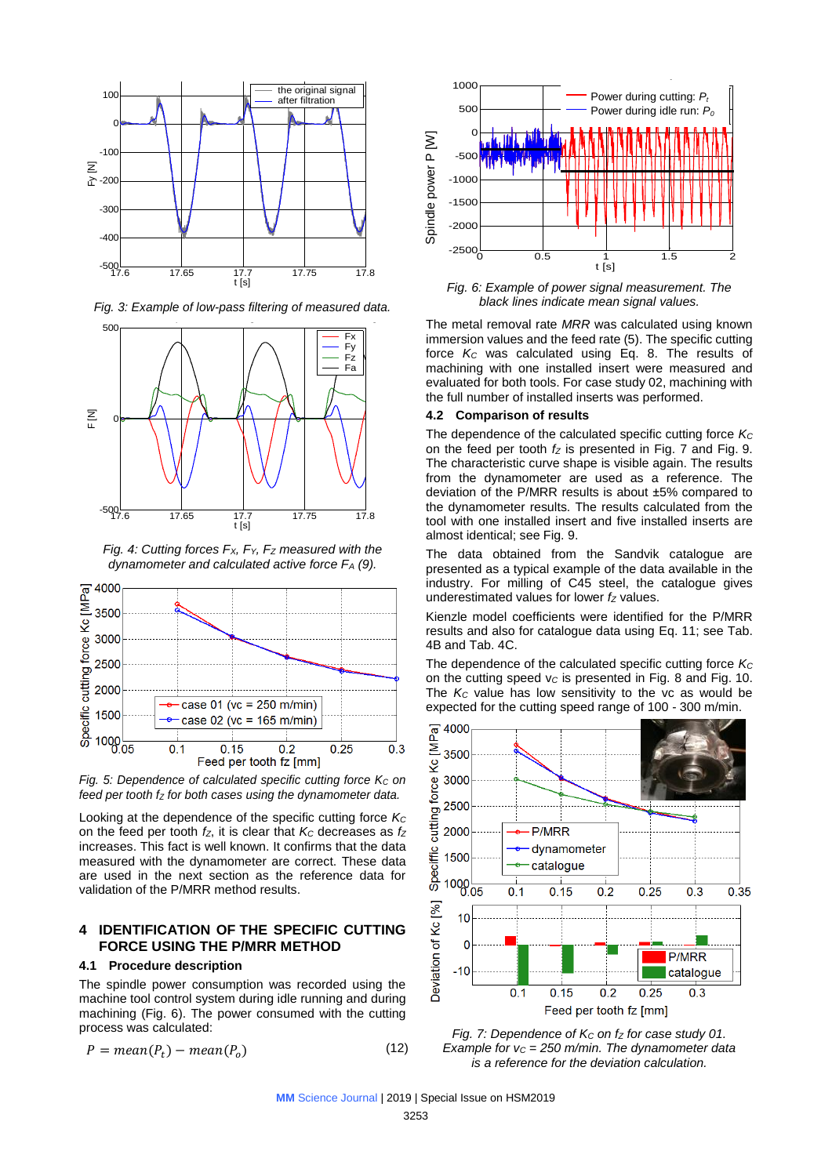

*Fig. 3: Example of low-pass filtering of measured data.*



*Fig. 4: Cutting forces FX, FY, F<sup>Z</sup> measured with the dynamometer and calculated active force F<sup>A</sup> (9).*



*Fig. 5: Dependence of calculated specific cutting force K<sub>c</sub> on feed per tooth f<sup>Z</sup> for both cases using the dynamometer data.*

Looking at the dependence of the specific cutting force *K<sup>C</sup>* on the feed per tooth *fZ*, it is clear that *K<sup>C</sup>* decreases as *f<sup>Z</sup>* increases. This fact is well known. It confirms that the data measured with the dynamometer are correct. These data are used in the next section as the reference data for validation of the P/MRR method results.

## **4 IDENTIFICATION OF THE SPECIFIC CUTTING FORCE USING THE P/MRR METHOD**

#### **4.1 Procedure description**

The spindle power consumption was recorded using the machine tool control system during idle running and during machining (Fig. 6). The power consumed with the cutting process was calculated:

$$
P = mean(P_t) - mean(P_o)
$$
\n(12)



*Fig. 6: Example of power signal measurement. The black lines indicate mean signal values.*

The metal removal rate *MRR* was calculated using known immersion values and the feed rate (5). The specific cutting force *K<sup>C</sup>* was calculated using Eq. 8. The results of machining with one installed insert were measured and evaluated for both tools. For case study 02, machining with the full number of installed inserts was performed.

#### **4.2 Comparison of results**

The dependence of the calculated specific cutting force *K<sup>C</sup>* on the feed per tooth *f<sup>Z</sup>* is presented in Fig. 7 and Fig. 9. The characteristic curve shape is visible again. The results from the dynamometer are used as a reference. The deviation of the P/MRR results is about ±5% compared to the dynamometer results. The results calculated from the tool with one installed insert and five installed inserts are almost identical; see Fig. 9.

The data obtained from the Sandvik catalogue are presented as a typical example of the data available in the industry. For milling of C45 steel, the catalogue gives underestimated values for lower *f<sup>Z</sup>* values.

Kienzle model coefficients were identified for the P/MRR results and also for catalogue data using Eq. 11; see Tab. 4B and Tab. 4C.

The dependence of the calculated specific cutting force *K<sup>C</sup>* on the cutting speed v*<sup>C</sup>* is presented in Fig. 8 and Fig. 10. The *K<sub>C</sub>* value has low sensitivity to the vc as would be expected for the cutting speed range of 100 - 300 m/min.



*Fig. 7: Dependence of K<sup>C</sup> on f<sup>Z</sup> for case study 01. Example for v<sup>C</sup> = 250 m/min. The dynamometer data is a reference for the deviation calculation.*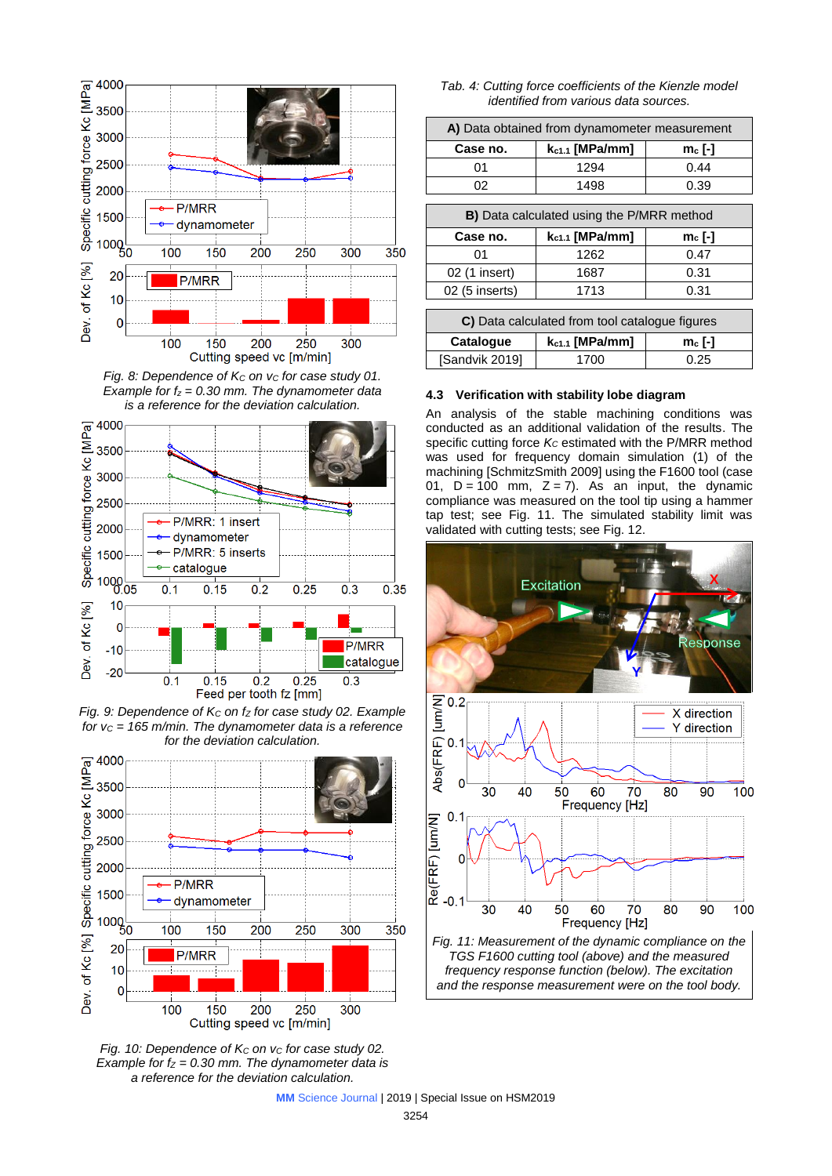

*Fig. 8: Dependence of K<sup>C</sup> on v<sup>C</sup> for case study 01. Example for f<sup>z</sup> = 0.30 mm. The dynamometer data is a reference for the deviation calculation.*



*Fig. 9: Dependence of K<sup>C</sup> on f<sup>Z</sup> for case study 02. Example for v<sup>C</sup> = 165 m/min. The dynamometer data is a reference for the deviation calculation.*



*Fig. 10: Dependence of K<sup>C</sup> on v<sup>C</sup> for case study 02. Example for f<sup>Z</sup> = 0.30 mm. The dynamometer data is a reference for the deviation calculation.*

*Tab. 4: Cutting force coefficients of the Kienzle model identified from various data sources.*

| A) Data obtained from dynamometer measurement |      |      |  |  |  |
|-----------------------------------------------|------|------|--|--|--|
| $k_{c1.1}$ [MPa/mm]<br>Case no.<br>$m_c$ [-]  |      |      |  |  |  |
| በ1                                            | 1294 | 0.44 |  |  |  |
|                                               | 1498 | 0.39 |  |  |  |

| <b>B)</b> Data calculated using the P/MRR method |      |      |  |  |  |  |
|--------------------------------------------------|------|------|--|--|--|--|
| $k_{c1.1}$ [MPa/mm]<br>Case no.<br>$mc$ [-]      |      |      |  |  |  |  |
| 01                                               | 1262 | 0.47 |  |  |  |  |
| 02 (1 insert)                                    | 1687 | 0.31 |  |  |  |  |
| 02 (5 inserts)                                   | 1713 | 0.31 |  |  |  |  |
|                                                  |      |      |  |  |  |  |

| C) Data calculated from tool catalogue figures |      |      |  |  |  |  |  |
|------------------------------------------------|------|------|--|--|--|--|--|
| $k_{c1.1}$ [MPa/mm]<br>Catalogue<br>$mc$ [-]   |      |      |  |  |  |  |  |
| [Sandvik 2019]                                 | 1700 | 0.25 |  |  |  |  |  |

### **4.3 Verification with stability lobe diagram**

An analysis of the stable machining conditions was conducted as an additional validation of the results. The specific cutting force *K<sup>C</sup>* estimated with the P/MRR method was used for frequency domain simulation (1) of the machining [SchmitzSmith 2009] using the F1600 tool (case 01,  $D = 100$  mm,  $Z = 7$ ). As an input, the dynamic compliance was measured on the tool tip using a hammer tap test; see Fig. 11. The simulated stability limit was validated with cutting tests; see Fig. 12.

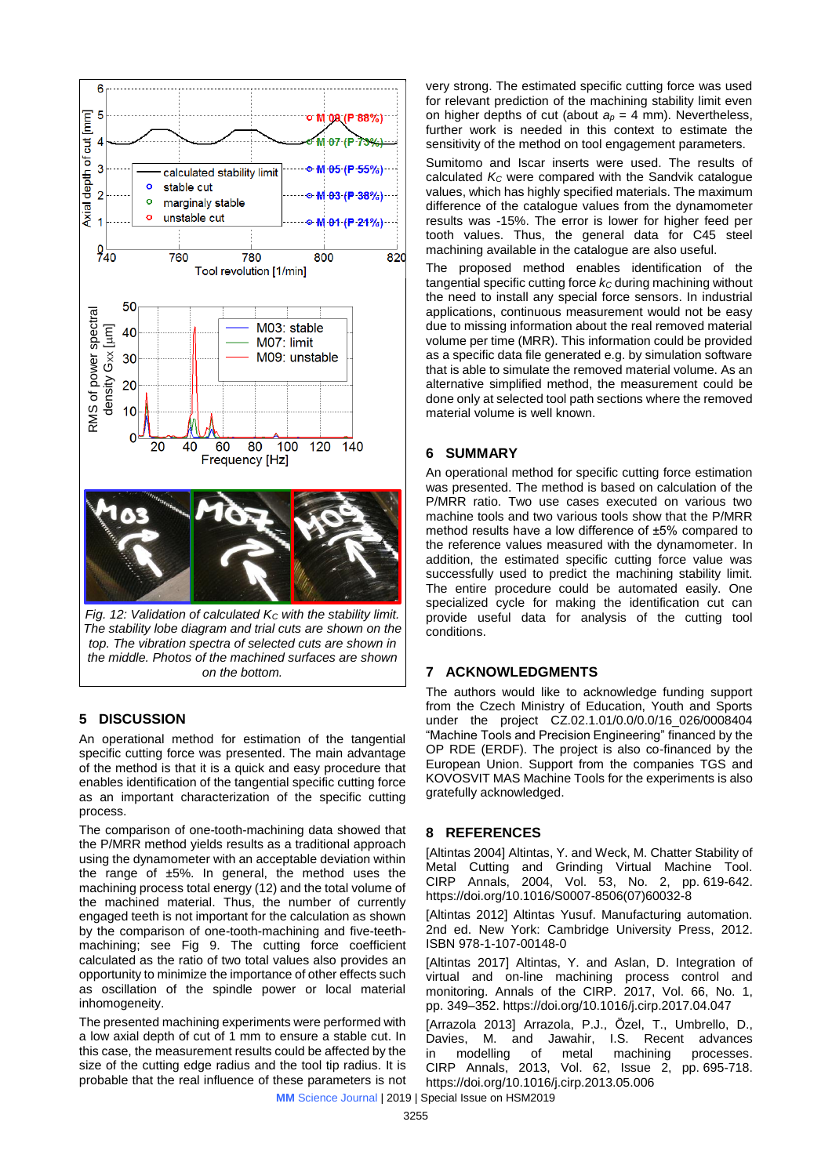

*the middle. Photos of the machined surfaces are shown on the bottom.*

## **5 DISCUSSION**

An operational method for estimation of the tangential specific cutting force was presented. The main advantage of the method is that it is a quick and easy procedure that enables identification of the tangential specific cutting force as an important characterization of the specific cutting process.

The comparison of one-tooth-machining data showed that the P/MRR method yields results as a traditional approach using the dynamometer with an acceptable deviation within the range of  $±5\%$ . In general, the method uses the machining process total energy (12) and the total volume of the machined material. Thus, the number of currently engaged teeth is not important for the calculation as shown by the comparison of one-tooth-machining and five-teethmachining; see Fig 9. The cutting force coefficient calculated as the ratio of two total values also provides an opportunity to minimize the importance of other effects such as oscillation of the spindle power or local material inhomogeneity.

The presented machining experiments were performed with a low axial depth of cut of 1 mm to ensure a stable cut. In this case, the measurement results could be affected by the size of the cutting edge radius and the tool tip radius. It is probable that the real influence of these parameters is not very strong. The estimated specific cutting force was used for relevant prediction of the machining stability limit even on higher depths of cut (about  $a_p = 4$  mm). Nevertheless, further work is needed in this context to estimate the sensitivity of the method on tool engagement parameters.

Sumitomo and Iscar inserts were used. The results of calculated *K<sup>C</sup>* were compared with the Sandvik catalogue values, which has highly specified materials. The maximum difference of the catalogue values from the dynamometer results was -15%. The error is lower for higher feed per tooth values. Thus, the general data for C45 steel machining available in the catalogue are also useful.

The proposed method enables identification of the tangential specific cutting force  $k<sub>C</sub>$  during machining without the need to install any special force sensors. In industrial applications, continuous measurement would not be easy due to missing information about the real removed material volume per time (MRR). This information could be provided as a specific data file generated e.g. by simulation software that is able to simulate the removed material volume. As an alternative simplified method, the measurement could be done only at selected tool path sections where the removed material volume is well known.

## **6 SUMMARY**

An operational method for specific cutting force estimation was presented. The method is based on calculation of the P/MRR ratio. Two use cases executed on various two machine tools and two various tools show that the P/MRR method results have a low difference of ±5% compared to the reference values measured with the dynamometer. In addition, the estimated specific cutting force value was successfully used to predict the machining stability limit. The entire procedure could be automated easily. One specialized cycle for making the identification cut can provide useful data for analysis of the cutting tool conditions.

## **7 ACKNOWLEDGMENTS**

The authors would like to acknowledge funding support from the Czech Ministry of Education, Youth and Sports under the project CZ.02.1.01/0.0/0.0/16\_026/0008404 "Machine Tools and Precision Engineering" financed by the OP RDE (ERDF). The project is also co-financed by the European Union. Support from the companies TGS and KOVOSVIT MAS Machine Tools for the experiments is also gratefully acknowledged.

## **8 REFERENCES**

[Altintas 2004] Altintas, Y. and Weck, M. Chatter Stability of Metal Cutting and Grinding Virtual Machine Tool. CIRP Annals, 2004, Vol. 53, No. 2, pp. 619-642. https://doi.org/10.1016/S0007-8506(07)60032-8

[Altintas 2012] Altintas Yusuf. Manufacturing automation. 2nd ed. New York: Cambridge University Press, 2012. ISBN 978-1-107-00148-0

[Altintas 2017] Altintas, Y. and Aslan, D. Integration of virtual and on-line machining process control and monitoring. Annals of the CIRP. 2017, Vol. 66, No. 1, pp. 349–352. https://doi.org/10.1016/j.cirp.2017.04.047

[Arrazola 2013] Arrazola, P.J., Özel, T., Umbrello, D., Davies, M. and Jawahir, I.S. Recent advances in modelling of metal machining processes. CIRP Annals, 2013, Vol. 62, Issue 2, pp. 695-718. https://doi.org/10.1016/j.cirp.2013.05.006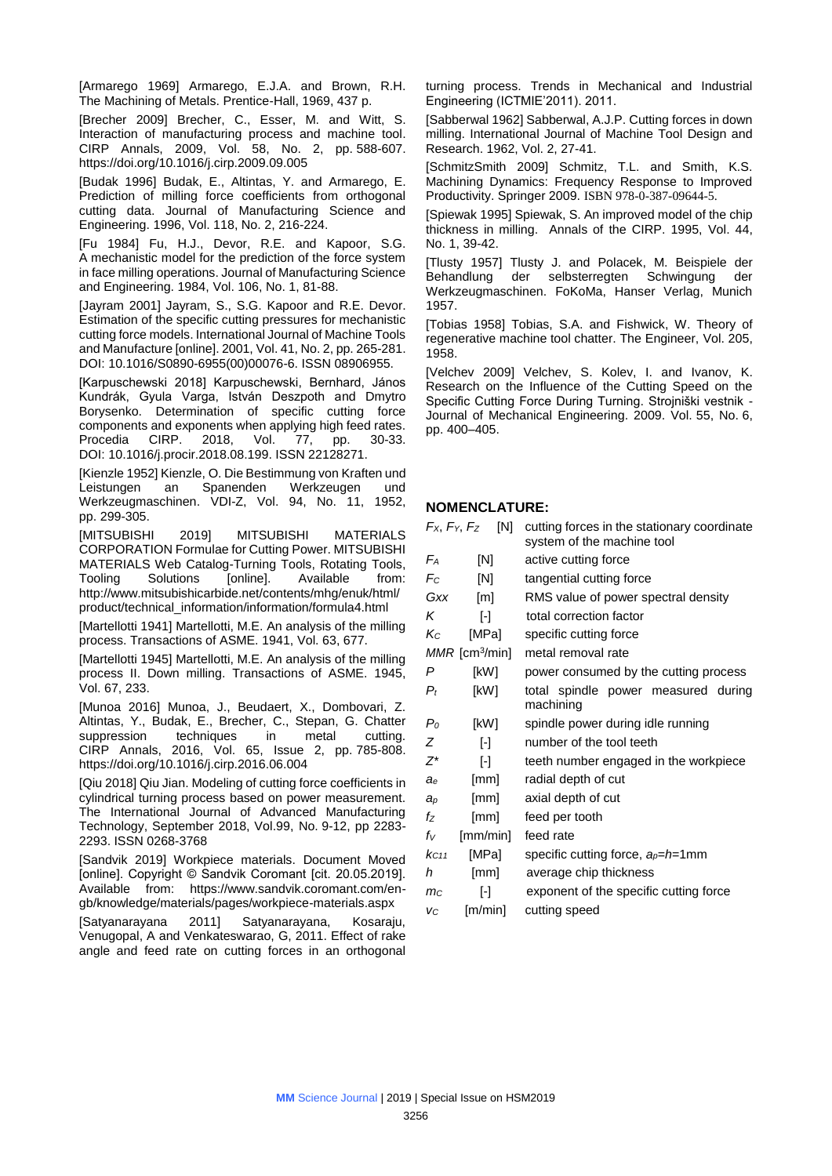[Armarego 1969] Armarego, E.J.A. and Brown, R.H. The Machining of Metals. Prentice-Hall, 1969, 437 p.

[Brecher 2009] Brecher, C., Esser, M. and Witt, S. Interaction of manufacturing process and machine tool. CIRP Annals, 2009, Vol. 58, No. 2, pp. 588-607. https://doi.org/10.1016/j.cirp.2009.09.005

[Budak 1996] Budak, E., Altintas, Y. and Armarego, E. Prediction of milling force coefficients from orthogonal cutting data. Journal of Manufacturing Science and Engineering. 1996, Vol. 118, No. 2, 216-224.

[Fu 1984] Fu, H.J., Devor, R.E. and Kapoor, S.G. A mechanistic model for the prediction of the force system in face milling operations. Journal of Manufacturing Science and Engineering. 1984, Vol. 106, No. 1, 81-88.

[Jayram 2001] Jayram, S., S.G. Kapoor and R.E. Devor. Estimation of the specific cutting pressures for mechanistic cutting force models. International Journal of Machine Tools and Manufacture [online]. 2001, Vol. 41, No. 2, pp. 265-281. DOI: 10.1016/S0890-6955(00)00076-6. ISSN 08906955.

[Karpuschewski 2018] Karpuschewski, Bernhard, János Kundrák, Gyula Varga, István Deszpoth and Dmytro Borysenko. Determination of specific cutting force components and exponents when applying high feed rates. Procedia CIRP. 2018, Vol. 77, pp. 30-33. DOI: 10.1016/j.procir.2018.08.199. ISSN 22128271.

[Kienzle 1952] Kienzle, O. Die Bestimmung von Kraften und Leistungen an Spanenden Werkzeugen und Werkzeugmaschinen. VDI-Z, Vol. 94, No. 11, 1952, pp. 299-305.

[MITSUBISHI 2019] MITSUBISHI MATERIALS CORPORATION Formulae for Cutting Power. MITSUBISHI MATERIALS Web Catalog-Turning Tools, Rotating Tools, Tooling Solutions [online]. Available from: http://www.mitsubishicarbide.net/contents/mhg/enuk/html/ product/technical\_information/information/formula4.html

[Martellotti 1941] Martellotti, M.E. An analysis of the milling process. Transactions of ASME. 1941, Vol. 63, 677.

[Martellotti 1945] Martellotti, M.E. An analysis of the milling process II. Down milling. Transactions of ASME. 1945, Vol. 67, 233.

[Munoa 2016] Munoa, J., Beudaert, X., Dombovari, Z. Altintas, Y., Budak, E., Brecher, C., Stepan, G. Chatter suppression techniques in metal cutting. CIRP Annals, 2016, Vol. 65, Issue 2, pp. 785-808. https://doi.org/10.1016/j.cirp.2016.06.004

[Qiu 2018] Qiu Jian. Modeling of cutting force coefficients in cylindrical turning process based on power measurement. The International Journal of Advanced Manufacturing Technology, September 2018, Vol.99, No. 9-12, pp 2283- 2293. ISSN 0268-3768

[Sandvik 2019] Workpiece materials. Document Moved [online]. Copyright © Sandvik Coromant [cit. 20.05.2019]. Available from: https://www.sandvik.coromant.com/engb/knowledge/materials/pages/workpiece-materials.aspx

[Satyanarayana 2011] Satyanarayana, Kosaraju, Venugopal, A and Venkateswarao, G, 2011. Effect of rake angle and feed rate on cutting forces in an orthogonal turning process. Trends in Mechanical and Industrial Engineering (ICTMIE'2011). 2011.

[Sabberwal 1962] Sabberwal, A.J.P. Cutting forces in down milling. International Journal of Machine Tool Design and Research. 1962, Vol. 2, 27-41.

[SchmitzSmith 2009] Schmitz, T.L. and Smith, K.S. Machining Dynamics: Frequency Response to Improved Productivity. Springer 2009. ISBN 978-0-387-09644-5.

[Spiewak 1995] Spiewak, S. An improved model of the chip thickness in milling. Annals of the CIRP. 1995, Vol. 44, No. 1, 39-42.

[Tlusty 1957] Tlusty J. and Polacek, M. Beispiele der Behandlung der selbsterregten Schwingung der Werkzeugmaschinen. FoKoMa, Hanser Verlag, Munich 1957.

[Tobias 1958] Tobias, S.A. and Fishwick, W. Theory of regenerative machine tool chatter. The Engineer, Vol. 205, 1958.

[Velchev 2009] Velchev, S. Kolev, I. and Ivanov, K. Research on the Influence of the Cutting Speed on the Specific Cutting Force During Turning. Strojniški vestnik - Journal of Mechanical Engineering. 2009. Vol. 55, No. 6, pp. 400–405.

## **NOMENCLATURE:**

|                | Fx, Fy, Fz<br>[N]            | cutting forces in the stationary coordinate<br>system of the machine tool |  |  |  |  |
|----------------|------------------------------|---------------------------------------------------------------------------|--|--|--|--|
| Fа             | [N]                          | active cutting force                                                      |  |  |  |  |
| $F_C$          | [N]                          | tangential cutting force                                                  |  |  |  |  |
| Gxx            | [m]                          | RMS value of power spectral density                                       |  |  |  |  |
| Κ              | H                            | total correction factor                                                   |  |  |  |  |
| Kс             | [MPa]                        | specific cutting force                                                    |  |  |  |  |
|                | $MMR$ [cm <sup>3</sup> /min] | metal removal rate                                                        |  |  |  |  |
| P              | [kW]                         | power consumed by the cutting process                                     |  |  |  |  |
| $P_t$          | [kW]                         | total spindle power measured during<br>machining                          |  |  |  |  |
| P <sub>0</sub> | [kW]                         | spindle power during idle running                                         |  |  |  |  |
| Ζ              | $\lbrack \cdot \rbrack$      | number of the tool teeth                                                  |  |  |  |  |
| $Z^*$          | H                            | teeth number engaged in the workpiece                                     |  |  |  |  |
| ae             | [mm]                         | radial depth of cut                                                       |  |  |  |  |
| $a_p$          | [mm]                         | axial depth of cut                                                        |  |  |  |  |
| fz             | [mm]                         | feed per tooth                                                            |  |  |  |  |
| fv             | [mm/min]                     | feed rate                                                                 |  |  |  |  |
| KC11           | [MPa]                        | specific cutting force, $a_p = h = 1$ mm                                  |  |  |  |  |
| h              | [mm]                         | average chip thickness                                                    |  |  |  |  |
| mc             | H                            | exponent of the specific cutting force                                    |  |  |  |  |
| VC             | [m/min]                      | cutting speed                                                             |  |  |  |  |